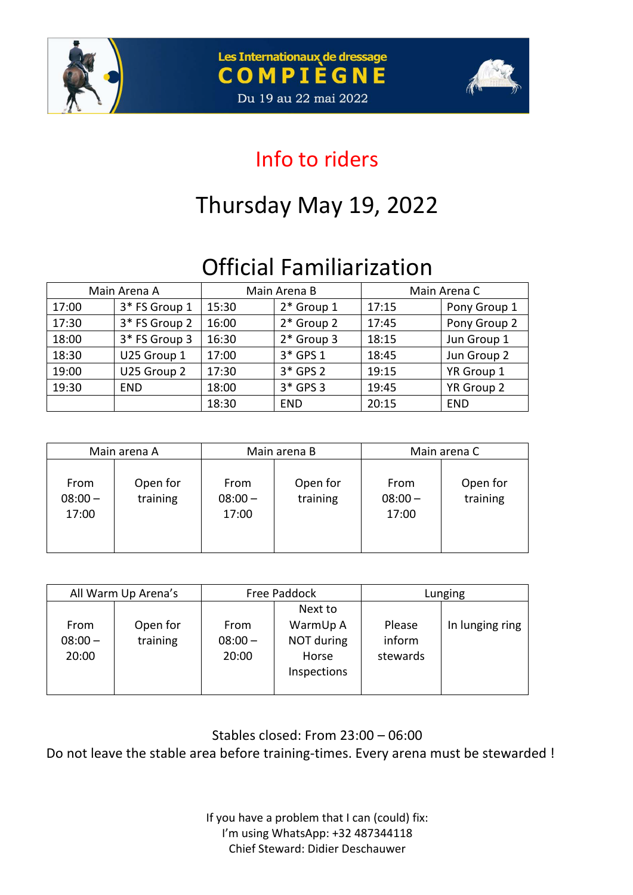





### Info to riders

# Thursday May 19, 2022

# Official Familiarization

| Main Arena A |               | Main Arena B |              | Main Arena C |              |
|--------------|---------------|--------------|--------------|--------------|--------------|
| 17:00        | 3* FS Group 1 | 15:30        | 2* Group 1   | 17:15        | Pony Group 1 |
| 17:30        | 3* FS Group 2 | 16:00        | 2* Group 2   | 17:45        | Pony Group 2 |
| 18:00        | 3* FS Group 3 | 16:30        | $2*$ Group 3 | 18:15        | Jun Group 1  |
| 18:30        | U25 Group 1   | 17:00        | 3* GPS 1     | 18:45        | Jun Group 2  |
| 19:00        | U25 Group 2   | 17:30        | $3*$ GPS 2   | 19:15        | YR Group 1   |
| 19:30        | <b>END</b>    | 18:00        | 3* GPS 3     | 19:45        | YR Group 2   |
|              |               | 18:30        | <b>END</b>   | 20:15        | <b>END</b>   |

| Main arena A               |                      | Main arena B               |                      | Main arena C               |                      |  |
|----------------------------|----------------------|----------------------------|----------------------|----------------------------|----------------------|--|
| From<br>$08:00 -$<br>17:00 | Open for<br>training | From<br>$08:00 -$<br>17:00 | Open for<br>training | From<br>$08:00 -$<br>17:00 | Open for<br>training |  |

| All Warm Up Arena's        |                      | Free Paddock               |                                                           | Lunging                      |                 |  |
|----------------------------|----------------------|----------------------------|-----------------------------------------------------------|------------------------------|-----------------|--|
| From<br>$08:00 -$<br>20:00 | Open for<br>training | From<br>$08:00 -$<br>20:00 | Next to<br>WarmUp A<br>NOT during<br>Horse<br>Inspections | Please<br>inform<br>stewards | In lunging ring |  |

Stables closed: From 23:00 – 06:00

Do not leave the stable area before training-times. Every arena must be stewarded !

If you have a problem that I can (could) fix: I'm using WhatsApp: +32 487344118 Chief Steward: Didier Deschauwer